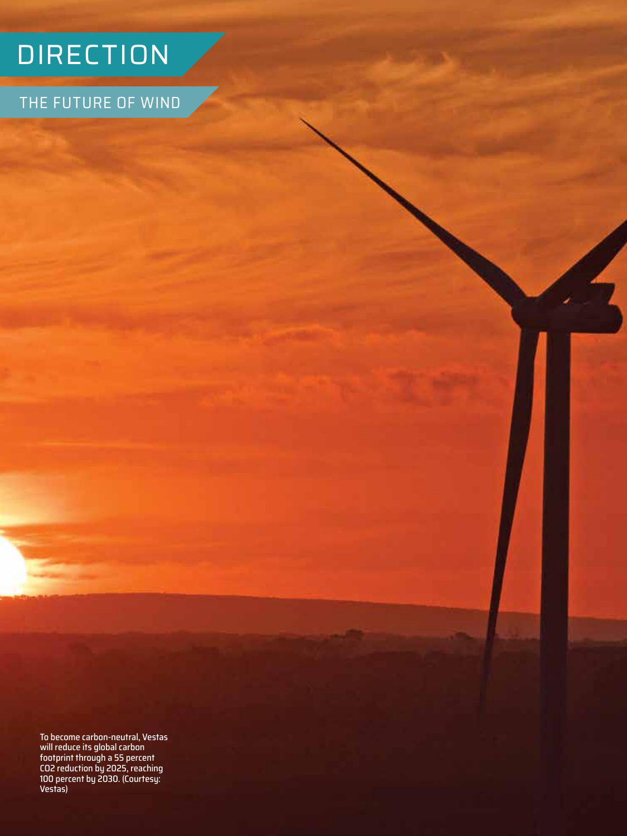## DIRECTION

THE FUTURE OF WIND

4

To become carbon-neutral, Vestas will reduce its global carbon footprint through a 55 percent CO2 reduction by 2025, reaching 100 percent by 2030. (Courtesy: Vestas)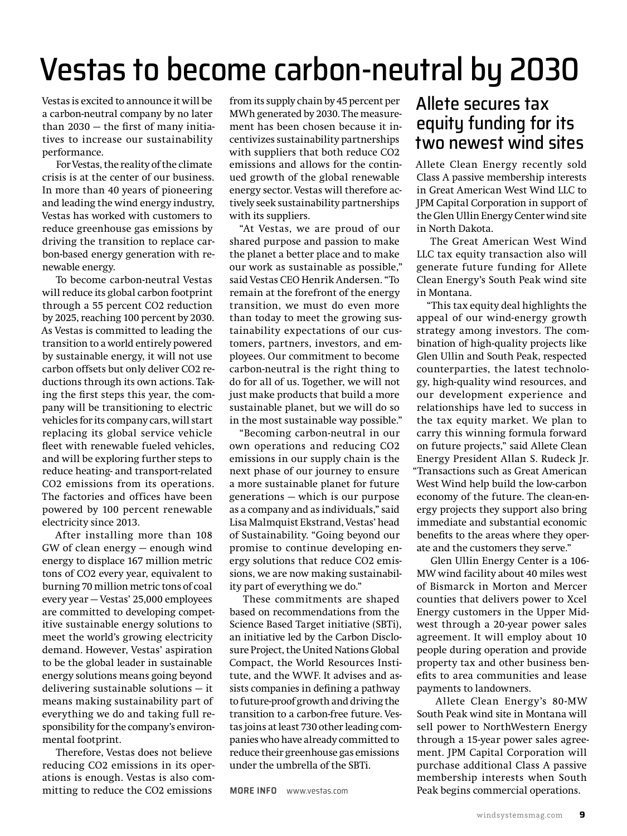# Vestas to become carbon-neutral by 2030

Vestas is excited to announce it will be a carbon-neutral company by no later than 2030 — the first of many initiatives to increase our sustainability performance.

For Vestas, the reality of the climate crisis is at the center of our business. In more than 40 years of pioneering and leading the wind energy industry, Vestas has worked with customers to reduce greenhouse gas emissions by driving the transition to replace carbon-based energy generation with renewable energy.

To become carbon-neutral Vestas will reduce its global carbon footprint through a 55 percent CO2 reduction by 2025, reaching 100 percent by 2030. As Vestas is committed to leading the transition to a world entirely powered by sustainable energy, it will not use carbon offsets but only deliver CO2 reductions through its own actions. Taking the first steps this year, the company will be transitioning to electric vehicles for its company cars, will start replacing its global service vehicle fleet with renewable fueled vehicles, and will be exploring further steps to reduce heating- and transport-related CO2 emissions from its operations. The factories and offices have been powered by 100 percent renewable electricity since 2013.

After installing more than 108 GW of clean energy — enough wind energy to displace 167 million metric tons of CO2 every year, equivalent to burning 70 million metric tons of coal every year — Vestas' 25,000 employees are committed to developing competitive sustainable energy solutions to meet the world's growing electricity demand. However, Vestas' aspiration to be the global leader in sustainable energy solutions means going beyond delivering sustainable solutions — it means making sustainability part of everything we do and taking full responsibility for the company's environmental footprint.

Therefore, Vestas does not believe reducing CO2 emissions in its operations is enough. Vestas is also committing to reduce the CO2 emissions

from its supply chain by 45 percent per MWh generated by 2030. The measurement has been chosen because it incentivizes sustainability partnerships with suppliers that both reduce CO2 emissions and allows for the continued growth of the global renewable energy sector. Vestas will therefore actively seek sustainability partnerships with its suppliers.

"At Vestas, we are proud of our shared purpose and passion to make the planet a better place and to make our work as sustainable as possible," said Vestas CEO Henrik Andersen. "To remain at the forefront of the energy transition, we must do even more than today to meet the growing sustainability expectations of our customers, partners, investors, and employees. Our commitment to become carbon-neutral is the right thing to do for all of us. Together, we will not just make products that build a more sustainable planet, but we will do so in the most sustainable way possible."

"Becoming carbon-neutral in our own operations and reducing CO2 emissions in our supply chain is the next phase of our journey to ensure a more sustainable planet for future generations — which is our purpose as a company and as individuals," said Lisa Malmquist Ekstrand, Vestas' head of Sustainability. "Going beyond our promise to continue developing energy solutions that reduce CO2 emissions, we are now making sustainability part of everything we do."

These commitments are shaped based on recommendations from the Science Based Target initiative (SBTi), an initiative led by the Carbon Disclosure Project, the United Nations Global Compact, the World Resources Institute, and the WWF. It advises and assists companies in defining a pathway to future-proof growth and driving the transition to a carbon-free future. Vestas joins at least 730 other leading companies who have already committed to reduce their greenhouse gas emissions under the umbrella of the SBTi.

**MORE INFO** [www.vestas.com](http://www.vestas.com) 

## Allete secures tax equity funding for its two newest wind sites

Allete Clean Energy recently sold Class A passive membership interests in Great American West Wind LLC to JPM Capital Corporation in support of the Glen Ullin Energy Center wind site in North Dakota.

The Great American West Wind LLC tax equity transaction also will generate future funding for Allete Clean Energy's South Peak wind site in Montana.

"This tax equity deal highlights the appeal of our wind-energy growth strategy among investors. The combination of high-quality projects like Glen Ullin and South Peak, respected counterparties, the latest technology, high-quality wind resources, and our development experience and relationships have led to success in the tax equity market. We plan to carry this winning formula forward on future projects," said Allete Clean Energy President Allan S. Rudeck Jr. "Transactions such as Great American West Wind help build the low-carbon economy of the future. The clean-energy projects they support also bring immediate and substantial economic benefits to the areas where they operate and the customers they serve."

Glen Ullin Energy Center is a 106- MW wind facility about 40 miles west of Bismarck in Morton and Mercer counties that delivers power to Xcel Energy customers in the Upper Midwest through a 20-year power sales agreement. It will employ about 10 people during operation and provide property tax and other business benefits to area communities and lease payments to landowners.

 Allete Clean Energy's 80-MW South Peak wind site in Montana will sell power to NorthWestern Energy through a 15-year power sales agreement. JPM Capital Corporation will purchase additional Class A passive membership interests when South Peak begins commercial operations.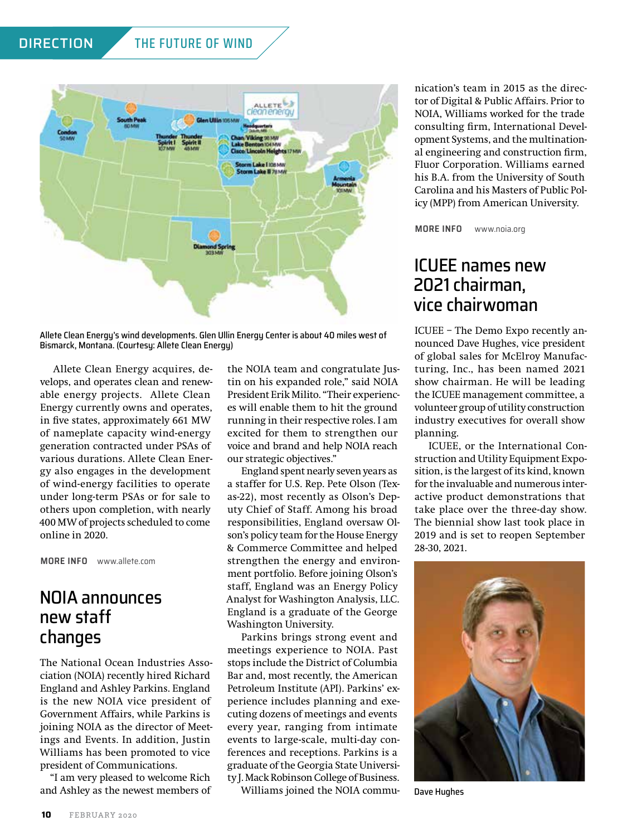#### DIRECTION THE FUTURE OF WIND



Allete Clean Energy's wind developments. Glen Ullin Energy Center is about 40 miles west of Bismarck, Montana. (Courtesy: Allete Clean Energy)

Allete Clean Energy acquires, develops, and operates clean and renewable energy projects. Allete Clean Energy currently owns and operates, in five states, approximately 661 MW of nameplate capacity wind-energy generation contracted under PSAs of various durations. Allete Clean Energy also engages in the development of wind-energy facilities to operate under long-term PSAs or for sale to others upon completion, with nearly 400 MW of projects scheduled to come online in 2020.

**MORE INFO** [www.allete.com](http://www.allete.com)

## NOIA announces new staff changes

The National Ocean Industries Association (NOIA) recently hired Richard England and Ashley Parkins. England is the new NOIA vice president of Government Affairs, while Parkins is joining NOIA as the director of Meetings and Events. In addition, Justin Williams has been promoted to vice president of Communications.

"I am very pleased to welcome Rich and Ashley as the newest members of the NOIA team and congratulate Justin on his expanded role," said NOIA President Erik Milito. "Their experiences will enable them to hit the ground running in their respective roles. I am excited for them to strengthen our voice and brand and help NOIA reach our strategic objectives."

England spent nearly seven years as a staffer for U.S. Rep. Pete Olson (Texas-22), most recently as Olson's Deputy Chief of Staff. Among his broad responsibilities, England oversaw Olson's policy team for the House Energy & Commerce Committee and helped strengthen the energy and environment portfolio. Before joining Olson's staff, England was an Energy Policy Analyst for Washington Analysis, LLC. England is a graduate of the George Washington University.

Parkins brings strong event and meetings experience to NOIA. Past stops include the District of Columbia Bar and, most recently, the American Petroleum Institute (API). Parkins' experience includes planning and executing dozens of meetings and events every year, ranging from intimate events to large-scale, multi-day conferences and receptions. Parkins is a graduate of the Georgia State University J. Mack Robinson College of Business.

Williams joined the NOIA commu-

nication's team in 2015 as the director of Digital & Public Affairs. Prior to NOIA, Williams worked for the trade consulting firm, International Development Systems, and the multinational engineering and construction firm, Fluor Corporation. Williams earned his B.A. from the University of South Carolina and his Masters of Public Policy (MPP) from American University.

**MORE INFO**  [www.noia.org](http://www.noia.org)

## ICUEE names new 2021 chairman, vice chairwoman

ICUEE – The Demo Expo recently announced Dave Hughes, vice president of global sales for McElroy Manufacturing, Inc., has been named 2021 show chairman. He will be leading the ICUEE management committee, a volunteer group of utility construction industry executives for overall show planning.

ICUEE, or the International Construction and Utility Equipment Exposition, is the largest of its kind, known for the invaluable and numerous interactive product demonstrations that take place over the three-day show. The biennial show last took place in 2019 and is set to reopen September 28-30, 2021.



Dave Hughes